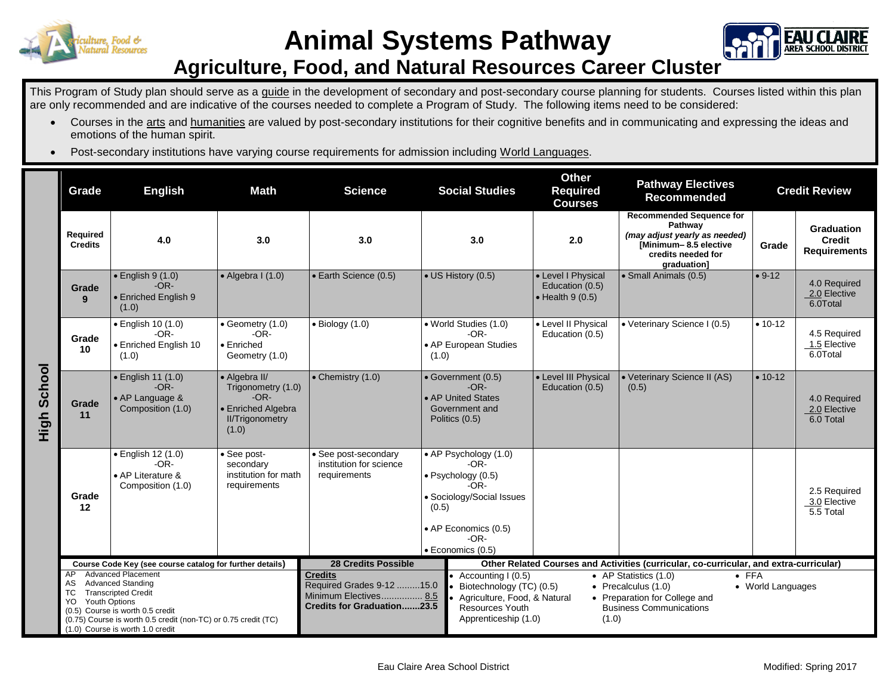



## **Agriculture, Food, and Natural Resources Career Cluster**

This Program of Study plan should serve as a guide in the development of secondary and post-secondary course planning for students. Courses listed within this plan are only recommended and are indicative of the courses needed to complete a Program of Study. The following items need to be considered:

- Courses in the arts and humanities are valued by post-secondary institutions for their cognitive benefits and in communicating and expressing the ideas and emotions of the human spirit.
- Post-secondary institutions have varying course requirements for admission including World Languages.

|             | Grade                                                                                                                                                                                                                                                                    | <b>English</b>                                                         | <b>Math</b>                                                                                            | <b>Science</b>                                                                                                                                                                                                                                                                                                                                                                                               | <b>Social Studies</b>                                                                                                                                                | <b>Other</b><br><b>Required</b><br><b>Courses</b>                                      | <b>Pathway Electives</b><br><b>Recommended</b>                                                                                           | <b>Credit Review</b> |                                                           |
|-------------|--------------------------------------------------------------------------------------------------------------------------------------------------------------------------------------------------------------------------------------------------------------------------|------------------------------------------------------------------------|--------------------------------------------------------------------------------------------------------|--------------------------------------------------------------------------------------------------------------------------------------------------------------------------------------------------------------------------------------------------------------------------------------------------------------------------------------------------------------------------------------------------------------|----------------------------------------------------------------------------------------------------------------------------------------------------------------------|----------------------------------------------------------------------------------------|------------------------------------------------------------------------------------------------------------------------------------------|----------------------|-----------------------------------------------------------|
| High School | Required<br><b>Credits</b>                                                                                                                                                                                                                                               | 4.0                                                                    | 3.0                                                                                                    | 3.0                                                                                                                                                                                                                                                                                                                                                                                                          | 3.0                                                                                                                                                                  | 2.0                                                                                    | <b>Recommended Sequence for</b><br>Pathway<br>(may adjust yearly as needed)<br>Minimum-8.5 elective<br>credits needed for<br>graduation] | Grade                | <b>Graduation</b><br><b>Credit</b><br><b>Requirements</b> |
|             | Grade<br>9                                                                                                                                                                                                                                                               | $\bullet$ English 9 (1.0)<br>$-OR-$<br>• Enriched English 9<br>(1.0)   | $\bullet$ Algebra I (1.0)                                                                              | • Earth Science (0.5)                                                                                                                                                                                                                                                                                                                                                                                        | • US History (0.5)                                                                                                                                                   | • Level I Physical<br>Education (0.5)<br>$\bullet$ Health 9 (0.5)                      | · Small Animals (0.5)                                                                                                                    | $• 9-12$             | 4.0 Required<br>2.0 Elective<br>6.0Total                  |
|             | Grade<br>10                                                                                                                                                                                                                                                              | • English 10 (1.0)<br>$-OR-$<br><b>Enriched English 10</b><br>(1.0)    | $\bullet$ Geometry (1.0)<br>$-OR-$<br>• Enriched<br>Geometry (1.0)                                     | $\bullet$ Biology (1.0)                                                                                                                                                                                                                                                                                                                                                                                      | • World Studies (1.0)<br>$-OR-$<br>• AP European Studies<br>(1.0)                                                                                                    | • Level II Physical<br>Education (0.5)                                                 | • Veterinary Science I (0.5)                                                                                                             | $• 10-12$            | 4.5 Required<br>1.5 Elective<br>6.0Total                  |
|             | Grade<br>11                                                                                                                                                                                                                                                              | • English 11 (1.0)<br>$-OR-$<br>• AP Language &<br>Composition (1.0)   | • Algebra II/<br>Trigonometry (1.0)<br>$-OR-$<br>• Enriched Algebra<br><b>II/Trigonometry</b><br>(1.0) | • Chemistry (1.0)                                                                                                                                                                                                                                                                                                                                                                                            | · Government (0.5)<br>$-OR-$<br>• AP United States<br>Government and<br>Politics (0.5)                                                                               | • Level III Physical<br>Education (0.5)                                                | • Veterinary Science II (AS)<br>(0.5)                                                                                                    | $• 10-12$            | 4.0 Required<br>2.0 Elective<br>6.0 Total                 |
|             | Grade<br>12                                                                                                                                                                                                                                                              | · English 12 (1.0)<br>$-OR-$<br>• AP Literature &<br>Composition (1.0) | See post-<br>secondary<br>institution for math<br>requirements                                         | • See post-secondary<br>institution for science<br>requirements                                                                                                                                                                                                                                                                                                                                              | • AP Psychology (1.0)<br>$-OR-$<br>$\bullet$ Psychology (0.5)<br>$-OR-$<br>• Sociology/Social Issues<br>(0.5)<br>• AP Economics (0.5)<br>$-OR-$<br>· Economics (0.5) |                                                                                        |                                                                                                                                          |                      | 2.5 Required<br>3.0 Elective<br>5.5 Total                 |
|             | Course Code Key (see course catalog for further details)                                                                                                                                                                                                                 |                                                                        |                                                                                                        | <b>28 Credits Possible</b>                                                                                                                                                                                                                                                                                                                                                                                   |                                                                                                                                                                      | Other Related Courses and Activities (curricular, co-curricular, and extra-curricular) |                                                                                                                                          |                      |                                                           |
|             | <b>Advanced Placement</b><br>AP<br><b>Advanced Standing</b><br>AS.<br>ТC<br><b>Transcripted Credit</b><br>Youth Options<br>YO.<br>(0.5) Course is worth 0.5 credit<br>(0.75) Course is worth 0.5 credit (non-TC) or 0.75 credit (TC)<br>(1.0) Course is worth 1.0 credit |                                                                        |                                                                                                        | <b>Credits</b><br>$\bullet$ FFA<br>• AP Statistics (1.0)<br>• Accounting $(0.5)$<br>Required Grades 9-12 15.0<br>Biotechnology (TC) (0.5)<br>• Precalculus $(1.0)$<br>• World Languages<br>Minimum Electives 8.5<br>Agriculture, Food, & Natural<br>• Preparation for College and<br><b>Credits for Graduation23.5</b><br>Resources Youth<br><b>Business Communications</b><br>Apprenticeship (1.0)<br>(1.0) |                                                                                                                                                                      |                                                                                        |                                                                                                                                          |                      |                                                           |